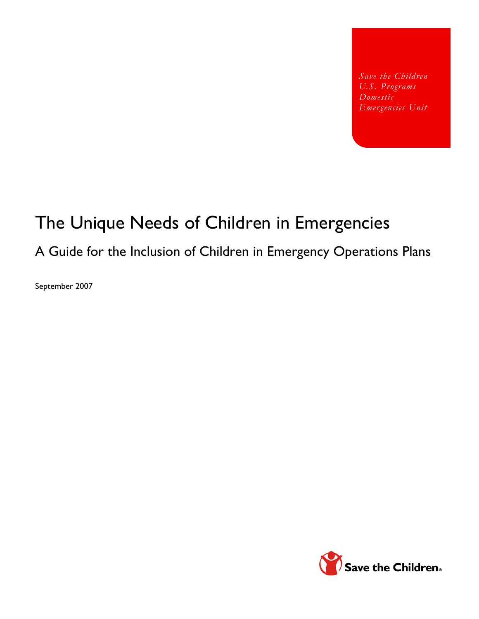Save the Children U.S. Programs Domestic Emergencies Unit

# The Unique Needs of Children in Emergencies

# A Guide for the Inclusion of Children in Emergency Operations Plans

September 2007

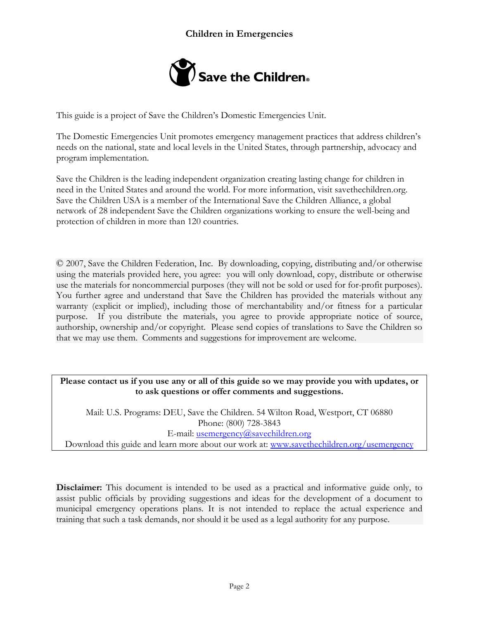

This guide is a project of Save the Children's Domestic Emergencies Unit.

The Domestic Emergencies Unit promotes emergency management practices that address children's needs on the national, state and local levels in the United States, through partnership, advocacy and program implementation.

Save the Children is the leading independent organization creating lasting change for children in need in the United States and around the world. For more information, visit savethechildren.org. Save the Children USA is a member of the International Save the Children Alliance, a global network of 28 independent Save the Children organizations working to ensure the well-being and protection of children in more than 120 countries.

© 2007, Save the Children Federation, Inc. By downloading, copying, distributing and/or otherwise using the materials provided here, you agree: you will only download, copy, distribute or otherwise use the materials for noncommercial purposes (they will not be sold or used for for-profit purposes). You further agree and understand that Save the Children has provided the materials without any warranty (explicit or implied), including those of merchantability and/or fitness for a particular purpose. If you distribute the materials, you agree to provide appropriate notice of source, authorship, ownership and/or copyright. Please send copies of translations to Save the Children so that we may use them. Comments and suggestions for improvement are welcome.

#### Please contact us if you use any or all of this guide so we may provide you with updates, or to ask questions or offer comments and suggestions.

Mail: U.S. Programs: DEU, Save the Children. 54 Wilton Road, Westport, CT 06880 Phone: (800) 728-3843 E-mail: usemergency@savechildren.org Download this guide and learn more about our work at: www.savethechildren.org/usemergency

Disclaimer: This document is intended to be used as a practical and informative guide only, to assist public officials by providing suggestions and ideas for the development of a document to municipal emergency operations plans. It is not intended to replace the actual experience and training that such a task demands, nor should it be used as a legal authority for any purpose.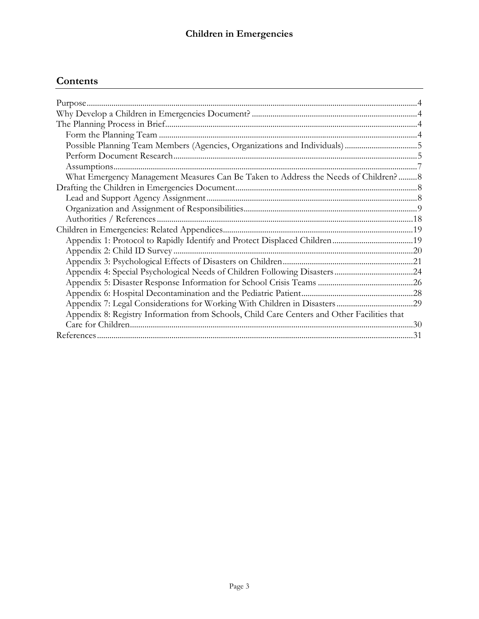# **Contents**

| What Emergency Management Measures Can Be Taken to Address the Needs of Children?8          |  |
|---------------------------------------------------------------------------------------------|--|
|                                                                                             |  |
|                                                                                             |  |
|                                                                                             |  |
|                                                                                             |  |
|                                                                                             |  |
|                                                                                             |  |
|                                                                                             |  |
|                                                                                             |  |
|                                                                                             |  |
|                                                                                             |  |
|                                                                                             |  |
|                                                                                             |  |
| Appendix 8: Registry Information from Schools, Child Care Centers and Other Facilities that |  |
|                                                                                             |  |
|                                                                                             |  |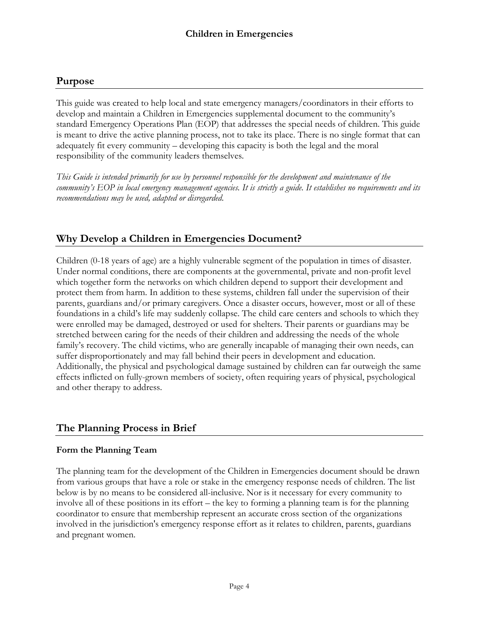# Purpose

This guide was created to help local and state emergency managers/coordinators in their efforts to develop and maintain a Children in Emergencies supplemental document to the community's standard Emergency Operations Plan (EOP) that addresses the special needs of children. This guide is meant to drive the active planning process, not to take its place. There is no single format that can adequately fit every community – developing this capacity is both the legal and the moral responsibility of the community leaders themselves.

This Guide is intended primarily for use by personnel responsible for the development and maintenance of the community's EOP in local emergency management agencies. It is strictly a guide. It establishes no requirements and its recommendations may be used, adapted or disregarded.

# Why Develop a Children in Emergencies Document?

Children (0-18 years of age) are a highly vulnerable segment of the population in times of disaster. Under normal conditions, there are components at the governmental, private and non-profit level which together form the networks on which children depend to support their development and protect them from harm. In addition to these systems, children fall under the supervision of their parents, guardians and/or primary caregivers. Once a disaster occurs, however, most or all of these foundations in a child's life may suddenly collapse. The child care centers and schools to which they were enrolled may be damaged, destroyed or used for shelters. Their parents or guardians may be stretched between caring for the needs of their children and addressing the needs of the whole family's recovery. The child victims, who are generally incapable of managing their own needs, can suffer disproportionately and may fall behind their peers in development and education. Additionally, the physical and psychological damage sustained by children can far outweigh the same effects inflicted on fully-grown members of society, often requiring years of physical, psychological and other therapy to address.

# The Planning Process in Brief

#### Form the Planning Team

The planning team for the development of the Children in Emergencies document should be drawn from various groups that have a role or stake in the emergency response needs of children. The list below is by no means to be considered all-inclusive. Nor is it necessary for every community to involve all of these positions in its effort – the key to forming a planning team is for the planning coordinator to ensure that membership represent an accurate cross section of the organizations involved in the jurisdiction's emergency response effort as it relates to children, parents, guardians and pregnant women.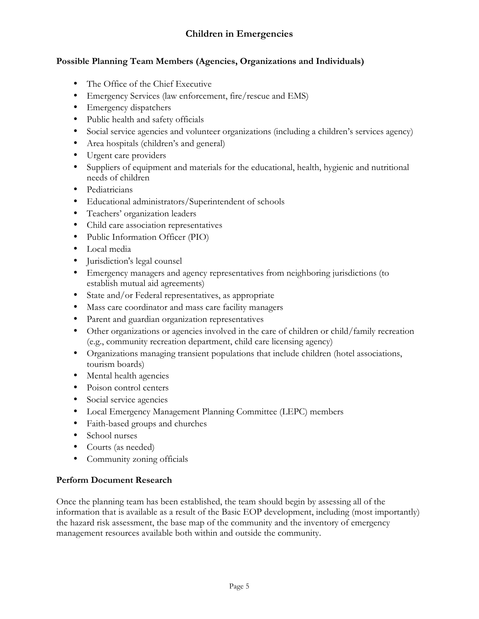#### Possible Planning Team Members (Agencies, Organizations and Individuals)

- The Office of the Chief Executive
- Emergency Services (law enforcement, fire/rescue and EMS)
- Emergency dispatchers
- Public health and safety officials
- Social service agencies and volunteer organizations (including a children's services agency)
- Area hospitals (children's and general)
- Urgent care providers
- Suppliers of equipment and materials for the educational, health, hygienic and nutritional needs of children
- Pediatricians
- Educational administrators/Superintendent of schools
- Teachers' organization leaders
- Child care association representatives
- Public Information Officer (PIO)
- Local media
- Jurisdiction's legal counsel
- Emergency managers and agency representatives from neighboring jurisdictions (to establish mutual aid agreements)
- State and/or Federal representatives, as appropriate
- Mass care coordinator and mass care facility managers
- Parent and guardian organization representatives
- Other organizations or agencies involved in the care of children or child/family recreation (e.g., community recreation department, child care licensing agency)
- Organizations managing transient populations that include children (hotel associations, tourism boards)
- Mental health agencies
- Poison control centers
- Social service agencies
- Local Emergency Management Planning Committee (LEPC) members
- Faith-based groups and churches
- School nurses
- Courts (as needed)
- Community zoning officials

#### Perform Document Research

Once the planning team has been established, the team should begin by assessing all of the information that is available as a result of the Basic EOP development, including (most importantly) the hazard risk assessment, the base map of the community and the inventory of emergency management resources available both within and outside the community.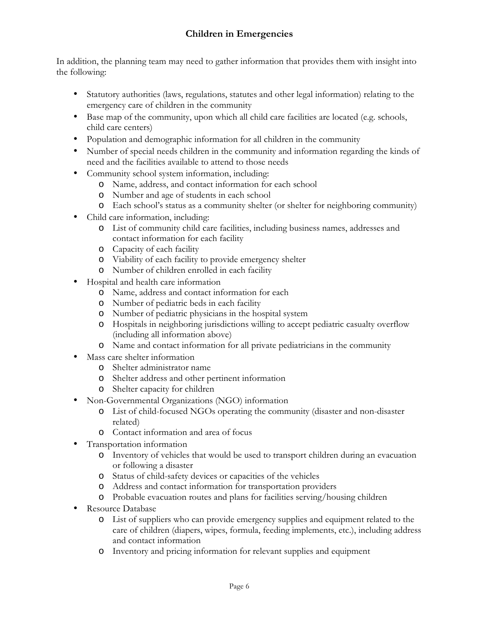In addition, the planning team may need to gather information that provides them with insight into the following:

- Statutory authorities (laws, regulations, statutes and other legal information) relating to the emergency care of children in the community
- Base map of the community, upon which all child care facilities are located (e.g. schools, child care centers)
- Population and demographic information for all children in the community
- Number of special needs children in the community and information regarding the kinds of need and the facilities available to attend to those needs
- Community school system information, including:
	- o Name, address, and contact information for each school
	- o Number and age of students in each school
	- o Each school's status as a community shelter (or shelter for neighboring community)
- Child care information, including:
	- o List of community child care facilities, including business names, addresses and contact information for each facility
	- o Capacity of each facility
	- o Viability of each facility to provide emergency shelter
	- o Number of children enrolled in each facility
- Hospital and health care information
	- o Name, address and contact information for each
	- o Number of pediatric beds in each facility
	- o Number of pediatric physicians in the hospital system
	- o Hospitals in neighboring jurisdictions willing to accept pediatric casualty overflow (including all information above)
	- o Name and contact information for all private pediatricians in the community
- Mass care shelter information
	- o Shelter administrator name
	- o Shelter address and other pertinent information
	- o Shelter capacity for children
- Non-Governmental Organizations (NGO) information
	- o List of child-focused NGOs operating the community (disaster and non-disaster related)
	- o Contact information and area of focus
- Transportation information
	- o Inventory of vehicles that would be used to transport children during an evacuation or following a disaster
	- o Status of child-safety devices or capacities of the vehicles
	- o Address and contact information for transportation providers
	- o Probable evacuation routes and plans for facilities serving/housing children
- Resource Database
	- o List of suppliers who can provide emergency supplies and equipment related to the care of children (diapers, wipes, formula, feeding implements, etc.), including address and contact information
	- o Inventory and pricing information for relevant supplies and equipment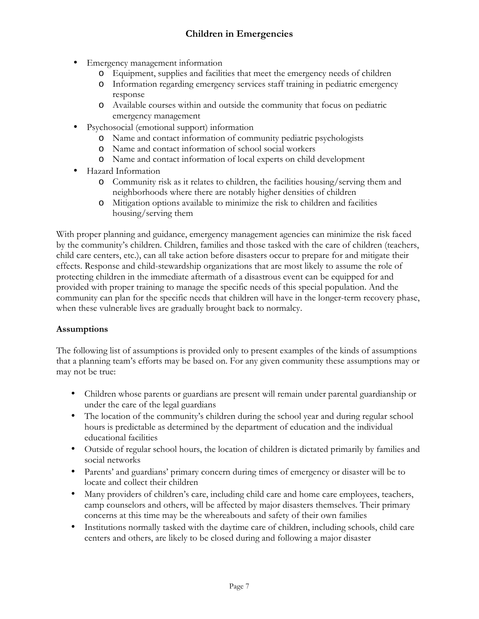- Emergency management information
	- o Equipment, supplies and facilities that meet the emergency needs of children
	- o Information regarding emergency services staff training in pediatric emergency response
	- o Available courses within and outside the community that focus on pediatric emergency management
- Psychosocial (emotional support) information
	- o Name and contact information of community pediatric psychologists
	- o Name and contact information of school social workers
	- o Name and contact information of local experts on child development
- Hazard Information
	- o Community risk as it relates to children, the facilities housing/serving them and neighborhoods where there are notably higher densities of children
	- o Mitigation options available to minimize the risk to children and facilities housing/serving them

With proper planning and guidance, emergency management agencies can minimize the risk faced by the community's children. Children, families and those tasked with the care of children (teachers, child care centers, etc.), can all take action before disasters occur to prepare for and mitigate their effects. Response and child-stewardship organizations that are most likely to assume the role of protecting children in the immediate aftermath of a disastrous event can be equipped for and provided with proper training to manage the specific needs of this special population. And the community can plan for the specific needs that children will have in the longer-term recovery phase, when these vulnerable lives are gradually brought back to normalcy.

#### Assumptions

The following list of assumptions is provided only to present examples of the kinds of assumptions that a planning team's efforts may be based on. For any given community these assumptions may or may not be true:

- Children whose parents or guardians are present will remain under parental guardianship or under the care of the legal guardians
- The location of the community's children during the school year and during regular school hours is predictable as determined by the department of education and the individual educational facilities
- Outside of regular school hours, the location of children is dictated primarily by families and social networks
- Parents' and guardians' primary concern during times of emergency or disaster will be to locate and collect their children
- Many providers of children's care, including child care and home care employees, teachers, camp counselors and others, will be affected by major disasters themselves. Their primary concerns at this time may be the whereabouts and safety of their own families
- Institutions normally tasked with the daytime care of children, including schools, child care centers and others, are likely to be closed during and following a major disaster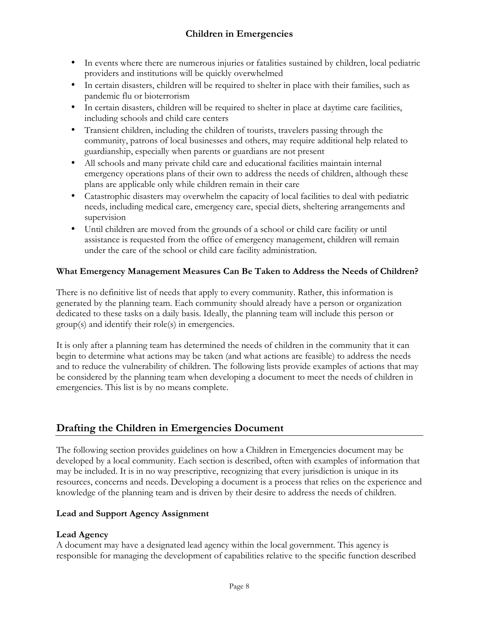- In events where there are numerous injuries or fatalities sustained by children, local pediatric providers and institutions will be quickly overwhelmed
- In certain disasters, children will be required to shelter in place with their families, such as pandemic flu or bioterrorism
- In certain disasters, children will be required to shelter in place at daytime care facilities, including schools and child care centers
- Transient children, including the children of tourists, travelers passing through the community, patrons of local businesses and others, may require additional help related to guardianship, especially when parents or guardians are not present
- All schools and many private child care and educational facilities maintain internal emergency operations plans of their own to address the needs of children, although these plans are applicable only while children remain in their care
- Catastrophic disasters may overwhelm the capacity of local facilities to deal with pediatric needs, including medical care, emergency care, special diets, sheltering arrangements and supervision
- Until children are moved from the grounds of a school or child care facility or until assistance is requested from the office of emergency management, children will remain under the care of the school or child care facility administration.

# What Emergency Management Measures Can Be Taken to Address the Needs of Children?

There is no definitive list of needs that apply to every community. Rather, this information is generated by the planning team. Each community should already have a person or organization dedicated to these tasks on a daily basis. Ideally, the planning team will include this person or group(s) and identify their role(s) in emergencies.

It is only after a planning team has determined the needs of children in the community that it can begin to determine what actions may be taken (and what actions are feasible) to address the needs and to reduce the vulnerability of children. The following lists provide examples of actions that may be considered by the planning team when developing a document to meet the needs of children in emergencies. This list is by no means complete.

# Drafting the Children in Emergencies Document

The following section provides guidelines on how a Children in Emergencies document may be developed by a local community. Each section is described, often with examples of information that may be included. It is in no way prescriptive, recognizing that every jurisdiction is unique in its resources, concerns and needs. Developing a document is a process that relies on the experience and knowledge of the planning team and is driven by their desire to address the needs of children.

# Lead and Support Agency Assignment

# Lead Agency

A document may have a designated lead agency within the local government. This agency is responsible for managing the development of capabilities relative to the specific function described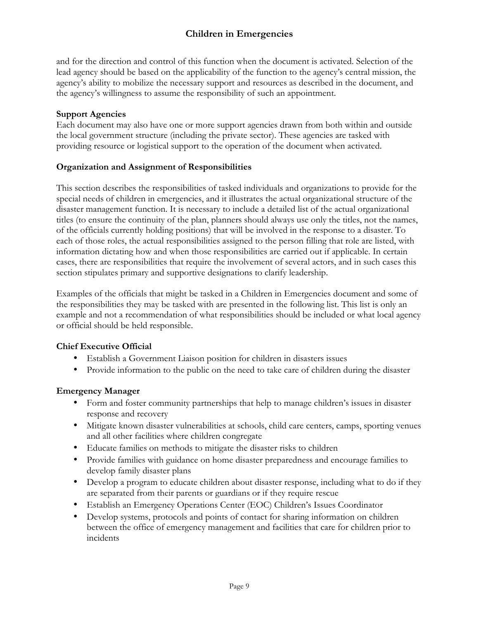and for the direction and control of this function when the document is activated. Selection of the lead agency should be based on the applicability of the function to the agency's central mission, the agency's ability to mobilize the necessary support and resources as described in the document, and the agency's willingness to assume the responsibility of such an appointment.

#### Support Agencies

Each document may also have one or more support agencies drawn from both within and outside the local government structure (including the private sector). These agencies are tasked with providing resource or logistical support to the operation of the document when activated.

#### Organization and Assignment of Responsibilities

This section describes the responsibilities of tasked individuals and organizations to provide for the special needs of children in emergencies, and it illustrates the actual organizational structure of the disaster management function. It is necessary to include a detailed list of the actual organizational titles (to ensure the continuity of the plan, planners should always use only the titles, not the names, of the officials currently holding positions) that will be involved in the response to a disaster. To each of those roles, the actual responsibilities assigned to the person filling that role are listed, with information dictating how and when those responsibilities are carried out if applicable. In certain cases, there are responsibilities that require the involvement of several actors, and in such cases this section stipulates primary and supportive designations to clarify leadership.

Examples of the officials that might be tasked in a Children in Emergencies document and some of the responsibilities they may be tasked with are presented in the following list. This list is only an example and not a recommendation of what responsibilities should be included or what local agency or official should be held responsible.

#### Chief Executive Official

- Establish a Government Liaison position for children in disasters issues
- Provide information to the public on the need to take care of children during the disaster

#### Emergency Manager

- Form and foster community partnerships that help to manage children's issues in disaster response and recovery
- Mitigate known disaster vulnerabilities at schools, child care centers, camps, sporting venues and all other facilities where children congregate
- Educate families on methods to mitigate the disaster risks to children
- Provide families with guidance on home disaster preparedness and encourage families to develop family disaster plans
- Develop a program to educate children about disaster response, including what to do if they are separated from their parents or guardians or if they require rescue
- Establish an Emergency Operations Center (EOC) Children's Issues Coordinator
- Develop systems, protocols and points of contact for sharing information on children between the office of emergency management and facilities that care for children prior to incidents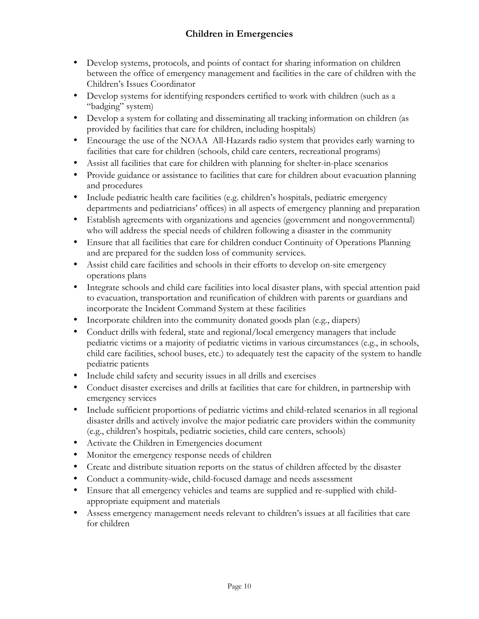- Develop systems, protocols, and points of contact for sharing information on children between the office of emergency management and facilities in the care of children with the Children's Issues Coordinator
- Develop systems for identifying responders certified to work with children (such as a "badging" system)
- Develop a system for collating and disseminating all tracking information on children (as provided by facilities that care for children, including hospitals)
- Encourage the use of the NOAA All-Hazards radio system that provides early warning to facilities that care for children (schools, child care centers, recreational programs)
- Assist all facilities that care for children with planning for shelter-in-place scenarios
- Provide guidance or assistance to facilities that care for children about evacuation planning and procedures
- Include pediatric health care facilities (e.g. children's hospitals, pediatric emergency departments and pediatricians' offices) in all aspects of emergency planning and preparation
- Establish agreements with organizations and agencies (government and nongovernmental) who will address the special needs of children following a disaster in the community
- Ensure that all facilities that care for children conduct Continuity of Operations Planning and are prepared for the sudden loss of community services.
- Assist child care facilities and schools in their efforts to develop on-site emergency operations plans
- Integrate schools and child care facilities into local disaster plans, with special attention paid to evacuation, transportation and reunification of children with parents or guardians and incorporate the Incident Command System at these facilities
- Incorporate children into the community donated goods plan (e.g., diapers)
- Conduct drills with federal, state and regional/local emergency managers that include pediatric victims or a majority of pediatric victims in various circumstances (e.g., in schools, child care facilities, school buses, etc.) to adequately test the capacity of the system to handle pediatric patients
- Include child safety and security issues in all drills and exercises
- Conduct disaster exercises and drills at facilities that care for children, in partnership with emergency services
- Include sufficient proportions of pediatric victims and child-related scenarios in all regional disaster drills and actively involve the major pediatric care providers within the community (e.g., children's hospitals, pediatric societies, child care centers, schools)
- Activate the Children in Emergencies document
- Monitor the emergency response needs of children
- Create and distribute situation reports on the status of children affected by the disaster
- Conduct a community-wide, child-focused damage and needs assessment
- Ensure that all emergency vehicles and teams are supplied and re-supplied with childappropriate equipment and materials
- Assess emergency management needs relevant to children's issues at all facilities that care for children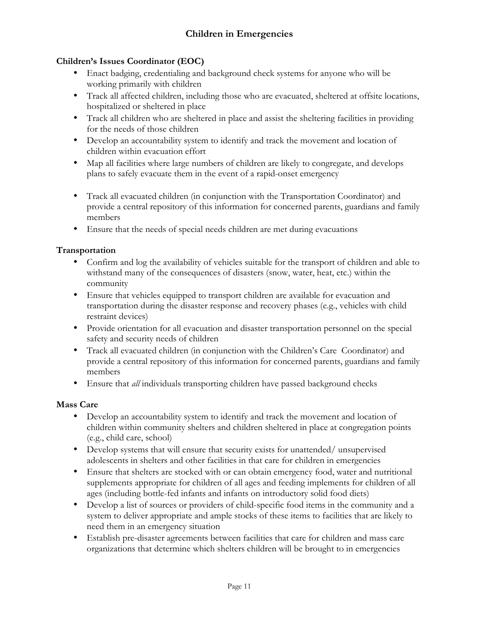#### Children's Issues Coordinator (EOC)

- Enact badging, credentialing and background check systems for anyone who will be working primarily with children
- Track all affected children, including those who are evacuated, sheltered at offsite locations, hospitalized or sheltered in place
- Track all children who are sheltered in place and assist the sheltering facilities in providing for the needs of those children
- Develop an accountability system to identify and track the movement and location of children within evacuation effort
- Map all facilities where large numbers of children are likely to congregate, and develops plans to safely evacuate them in the event of a rapid-onset emergency
- Track all evacuated children (in conjunction with the Transportation Coordinator) and provide a central repository of this information for concerned parents, guardians and family members
- Ensure that the needs of special needs children are met during evacuations

#### Transportation

- Confirm and log the availability of vehicles suitable for the transport of children and able to withstand many of the consequences of disasters (snow, water, heat, etc.) within the community
- Ensure that vehicles equipped to transport children are available for evacuation and transportation during the disaster response and recovery phases (e.g., vehicles with child restraint devices)
- Provide orientation for all evacuation and disaster transportation personnel on the special safety and security needs of children
- Track all evacuated children (in conjunction with the Children's Care Coordinator) and provide a central repository of this information for concerned parents, guardians and family members
- Ensure that *all* individuals transporting children have passed background checks

#### Mass Care

- Develop an accountability system to identify and track the movement and location of children within community shelters and children sheltered in place at congregation points (e.g., child care, school)
- Develop systems that will ensure that security exists for unattended/ unsupervised adolescents in shelters and other facilities in that care for children in emergencies
- Ensure that shelters are stocked with or can obtain emergency food, water and nutritional supplements appropriate for children of all ages and feeding implements for children of all ages (including bottle-fed infants and infants on introductory solid food diets)
- Develop a list of sources or providers of child-specific food items in the community and a system to deliver appropriate and ample stocks of these items to facilities that are likely to need them in an emergency situation
- Establish pre-disaster agreements between facilities that care for children and mass care organizations that determine which shelters children will be brought to in emergencies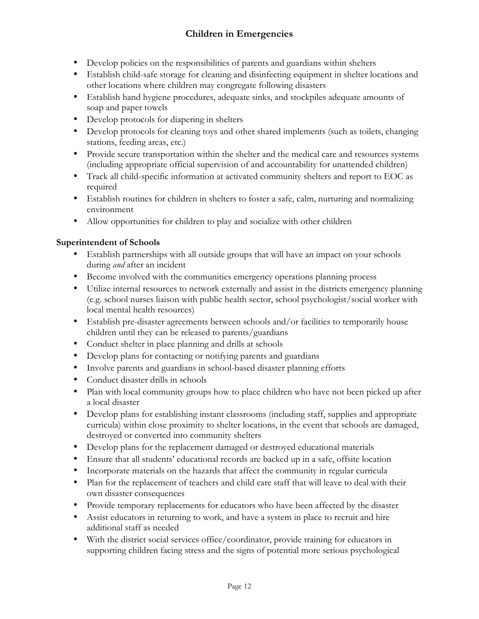- Develop policies on the responsibilities of parents and guardians within shelters
- Establish child-safe storage for cleaning and disinfecting equipment in shelter locations and other locations where children may congregate following disasters
- Establish hand hygiene procedures, adequate sinks, and stockpiles adequate amounts of soap and paper towels
- Develop protocols for diapering in shelters
- Develop protocols for cleaning toys and other shared implements (such as toilets, changing stations, feeding areas, etc.)
- Provide secure transportation within the shelter and the medical care and resources systems (including appropriate official supervision of and accountability for unattended children)
- Track all child-specific information at activated community shelters and report to EOC as required
- Establish routines for children in shelters to foster a safe, calm, nurturing and normalizing environment
- Allow opportunities for children to play and socialize with other children

#### Superintendent of Schools

- Establish partnerships with all outside groups that will have an impact on your schools during *and* after an incident
- Become involved with the communities emergency operations planning process
- Utilize internal resources to network externally and assist in the districts emergency planning (e.g. school nurses liaison with public health sector, school psychologist/social worker with local mental health resources)
- Establish pre-disaster agreements between schools and/or facilities to temporarily house children until they can be released to parents/guardians
- Conduct shelter in place planning and drills at schools
- Develop plans for contacting or notifying parents and guardians
- Involve parents and guardians in school-based disaster planning efforts
- Conduct disaster drills in schools
- Plan with local community groups how to place children who have not been picked up after a local disaster
- Develop plans for establishing instant classrooms (including staff, supplies and appropriate curricula) within close proximity to shelter locations, in the event that schools are damaged, destroyed or converted into community shelters
- Develop plans for the replacement damaged or destroyed educational materials
- Ensure that all students' educational records are backed up in a safe, offsite location
- Incorporate materials on the hazards that affect the community in regular curricula
- Plan for the replacement of teachers and child care staff that will leave to deal with their own disaster consequences
- Provide temporary replacements for educators who have been affected by the disaster
- Assist educators in returning to work, and have a system in place to recruit and hire additional staff as needed
- With the district social services office/coordinator, provide training for educators in supporting children facing stress and the signs of potential more serious psychological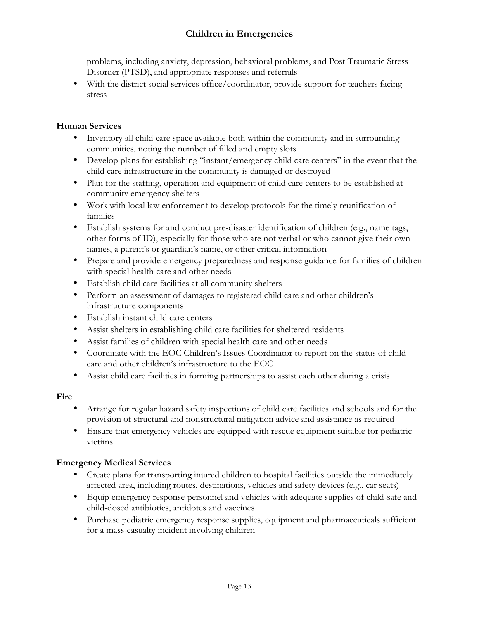problems, including anxiety, depression, behavioral problems, and Post Traumatic Stress Disorder (PTSD), and appropriate responses and referrals

• With the district social services office/coordinator, provide support for teachers facing stress

#### Human Services

- Inventory all child care space available both within the community and in surrounding communities, noting the number of filled and empty slots
- Develop plans for establishing "instant/emergency child care centers" in the event that the child care infrastructure in the community is damaged or destroyed
- Plan for the staffing, operation and equipment of child care centers to be established at community emergency shelters
- Work with local law enforcement to develop protocols for the timely reunification of families
- Establish systems for and conduct pre-disaster identification of children (e.g., name tags, other forms of ID), especially for those who are not verbal or who cannot give their own names, a parent's or guardian's name, or other critical information
- Prepare and provide emergency preparedness and response guidance for families of children with special health care and other needs
- Establish child care facilities at all community shelters
- Perform an assessment of damages to registered child care and other children's infrastructure components
- Establish instant child care centers
- Assist shelters in establishing child care facilities for sheltered residents
- Assist families of children with special health care and other needs
- Coordinate with the EOC Children's Issues Coordinator to report on the status of child care and other children's infrastructure to the EOC
- Assist child care facilities in forming partnerships to assist each other during a crisis

#### Fire

- Arrange for regular hazard safety inspections of child care facilities and schools and for the provision of structural and nonstructural mitigation advice and assistance as required
- Ensure that emergency vehicles are equipped with rescue equipment suitable for pediatric victims

#### Emergency Medical Services

- Create plans for transporting injured children to hospital facilities outside the immediately affected area, including routes, destinations, vehicles and safety devices (e.g., car seats)
- Equip emergency response personnel and vehicles with adequate supplies of child-safe and child-dosed antibiotics, antidotes and vaccines
- Purchase pediatric emergency response supplies, equipment and pharmaceuticals sufficient for a mass-casualty incident involving children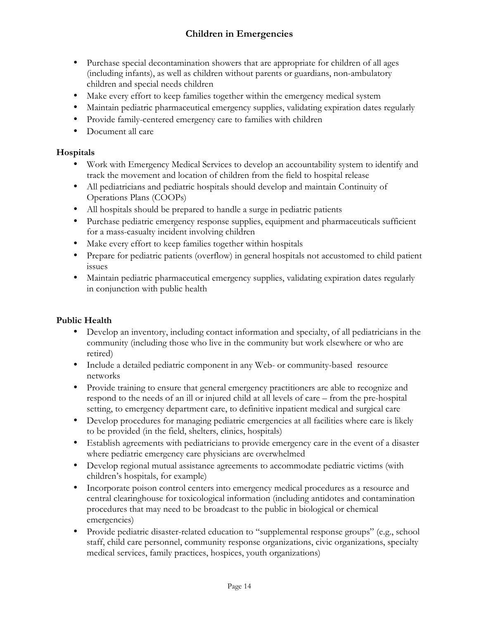- Purchase special decontamination showers that are appropriate for children of all ages (including infants), as well as children without parents or guardians, non-ambulatory children and special needs children
- Make every effort to keep families together within the emergency medical system
- Maintain pediatric pharmaceutical emergency supplies, validating expiration dates regularly
- Provide family-centered emergency care to families with children
- Document all care

#### Hospitals

- Work with Emergency Medical Services to develop an accountability system to identify and track the movement and location of children from the field to hospital release
- All pediatricians and pediatric hospitals should develop and maintain Continuity of Operations Plans (COOPs)
- All hospitals should be prepared to handle a surge in pediatric patients
- Purchase pediatric emergency response supplies, equipment and pharmaceuticals sufficient for a mass-casualty incident involving children
- Make every effort to keep families together within hospitals
- Prepare for pediatric patients (overflow) in general hospitals not accustomed to child patient issues
- Maintain pediatric pharmaceutical emergency supplies, validating expiration dates regularly in conjunction with public health

#### Public Health

- Develop an inventory, including contact information and specialty, of all pediatricians in the community (including those who live in the community but work elsewhere or who are retired)
- Include a detailed pediatric component in any Web- or community-based resource networks
- Provide training to ensure that general emergency practitioners are able to recognize and respond to the needs of an ill or injured child at all levels of care – from the pre-hospital setting, to emergency department care, to definitive inpatient medical and surgical care
- Develop procedures for managing pediatric emergencies at all facilities where care is likely to be provided (in the field, shelters, clinics, hospitals)
- Establish agreements with pediatricians to provide emergency care in the event of a disaster where pediatric emergency care physicians are overwhelmed
- Develop regional mutual assistance agreements to accommodate pediatric victims (with children's hospitals, for example)
- Incorporate poison control centers into emergency medical procedures as a resource and central clearinghouse for toxicological information (including antidotes and contamination procedures that may need to be broadcast to the public in biological or chemical emergencies)
- Provide pediatric disaster-related education to "supplemental response groups" (e.g., school staff, child care personnel, community response organizations, civic organizations, specialty medical services, family practices, hospices, youth organizations)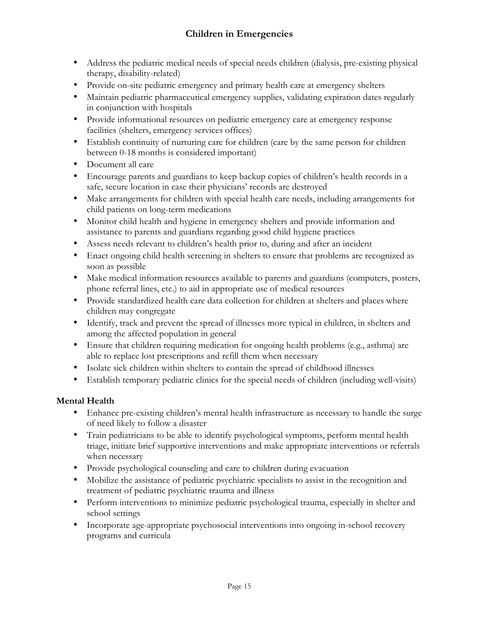- Address the pediatric medical needs of special needs children (dialysis, pre-existing physical therapy, disability-related)
- Provide on-site pediatric emergency and primary health care at emergency shelters
- Maintain pediatric pharmaceutical emergency supplies, validating expiration dates regularly in conjunction with hospitals
- Provide informational resources on pediatric emergency care at emergency response facilities (shelters, emergency services offices)
- Establish continuity of nurturing care for children (care by the same person for children between 0-18 months is considered important)
- Document all care
- Encourage parents and guardians to keep backup copies of children's health records in a safe, secure location in case their physicians' records are destroyed
- Make arrangements for children with special health care needs, including arrangements for child patients on long-term medications
- Monitor child health and hygiene in emergency shelters and provide information and assistance to parents and guardians regarding good child hygiene practices
- Assess needs relevant to children's health prior to, during and after an incident
- Enact ongoing child health screening in shelters to ensure that problems are recognized as soon as possible
- Make medical information resources available to parents and guardians (computers, posters, phone referral lines, etc.) to aid in appropriate use of medical resources
- Provide standardized health care data collection for children at shelters and places where children may congregate
- Identify, track and prevent the spread of illnesses more typical in children, in shelters and among the affected population in general
- Ensure that children requiring medication for ongoing health problems (e.g., asthma) are able to replace lost prescriptions and refill them when necessary
- Isolate sick children within shelters to contain the spread of childhood illnesses
- Establish temporary pediatric clinics for the special needs of children (including well-visits)

#### Mental Health

- Enhance pre-existing children's mental health infrastructure as necessary to handle the surge of need likely to follow a disaster
- Train pediatricians to be able to identify psychological symptoms, perform mental health triage, initiate brief supportive interventions and make appropriate interventions or referrals when necessary
- Provide psychological counseling and care to children during evacuation
- Mobilize the assistance of pediatric psychiatric specialists to assist in the recognition and treatment of pediatric psychiatric trauma and illness
- Perform interventions to minimize pediatric psychological trauma, especially in shelter and school settings
- Incorporate age-appropriate psychosocial interventions into ongoing in-school recovery programs and curricula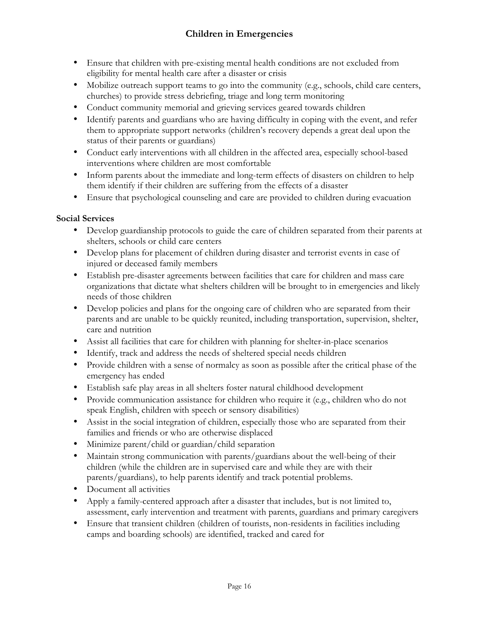- Ensure that children with pre-existing mental health conditions are not excluded from eligibility for mental health care after a disaster or crisis
- Mobilize outreach support teams to go into the community (e.g., schools, child care centers, churches) to provide stress debriefing, triage and long term monitoring
- Conduct community memorial and grieving services geared towards children
- Identify parents and guardians who are having difficulty in coping with the event, and refer them to appropriate support networks (children's recovery depends a great deal upon the status of their parents or guardians)
- Conduct early interventions with all children in the affected area, especially school-based interventions where children are most comfortable
- Inform parents about the immediate and long-term effects of disasters on children to help them identify if their children are suffering from the effects of a disaster
- Ensure that psychological counseling and care are provided to children during evacuation

#### Social Services

- Develop guardianship protocols to guide the care of children separated from their parents at shelters, schools or child care centers
- Develop plans for placement of children during disaster and terrorist events in case of injured or deceased family members
- Establish pre-disaster agreements between facilities that care for children and mass care organizations that dictate what shelters children will be brought to in emergencies and likely needs of those children
- Develop policies and plans for the ongoing care of children who are separated from their parents and are unable to be quickly reunited, including transportation, supervision, shelter, care and nutrition
- Assist all facilities that care for children with planning for shelter-in-place scenarios
- Identify, track and address the needs of sheltered special needs children
- Provide children with a sense of normalcy as soon as possible after the critical phase of the emergency has ended
- Establish safe play areas in all shelters foster natural childhood development
- Provide communication assistance for children who require it (e.g., children who do not speak English, children with speech or sensory disabilities)
- Assist in the social integration of children, especially those who are separated from their families and friends or who are otherwise displaced
- Minimize parent/child or guardian/child separation
- Maintain strong communication with parents/guardians about the well-being of their children (while the children are in supervised care and while they are with their parents/guardians), to help parents identify and track potential problems.
- Document all activities
- Apply a family-centered approach after a disaster that includes, but is not limited to, assessment, early intervention and treatment with parents, guardians and primary caregivers
- Ensure that transient children (children of tourists, non-residents in facilities including camps and boarding schools) are identified, tracked and cared for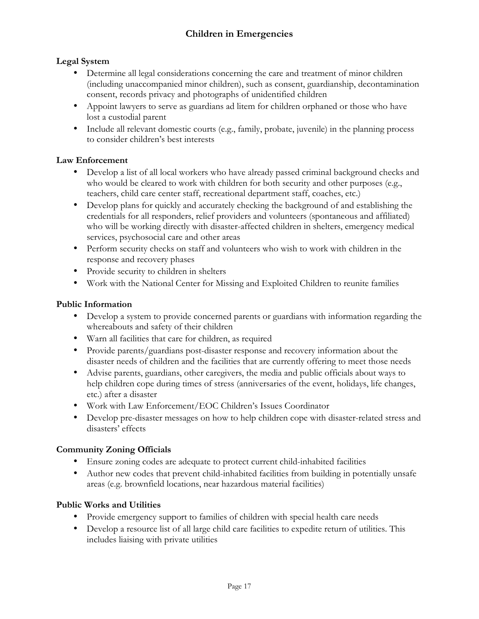### Legal System

- Determine all legal considerations concerning the care and treatment of minor children (including unaccompanied minor children), such as consent, guardianship, decontamination consent, records privacy and photographs of unidentified children
- Appoint lawyers to serve as guardians ad litem for children orphaned or those who have lost a custodial parent
- Include all relevant domestic courts (e.g., family, probate, juvenile) in the planning process to consider children's best interests

#### Law Enforcement

- Develop a list of all local workers who have already passed criminal background checks and who would be cleared to work with children for both security and other purposes (e.g., teachers, child care center staff, recreational department staff, coaches, etc.)
- Develop plans for quickly and accurately checking the background of and establishing the credentials for all responders, relief providers and volunteers (spontaneous and affiliated) who will be working directly with disaster-affected children in shelters, emergency medical services, psychosocial care and other areas
- Perform security checks on staff and volunteers who wish to work with children in the response and recovery phases
- Provide security to children in shelters
- Work with the National Center for Missing and Exploited Children to reunite families

#### Public Information

- Develop a system to provide concerned parents or guardians with information regarding the whereabouts and safety of their children
- Warn all facilities that care for children, as required
- Provide parents/guardians post-disaster response and recovery information about the disaster needs of children and the facilities that are currently offering to meet those needs
- Advise parents, guardians, other caregivers, the media and public officials about ways to help children cope during times of stress (anniversaries of the event, holidays, life changes, etc.) after a disaster
- Work with Law Enforcement/EOC Children's Issues Coordinator
- Develop pre-disaster messages on how to help children cope with disaster-related stress and disasters' effects

# Community Zoning Officials

- Ensure zoning codes are adequate to protect current child-inhabited facilities
- Author new codes that prevent child-inhabited facilities from building in potentially unsafe areas (e.g. brownfield locations, near hazardous material facilities)

#### Public Works and Utilities

- Provide emergency support to families of children with special health care needs
- Develop a resource list of all large child care facilities to expedite return of utilities. This includes liaising with private utilities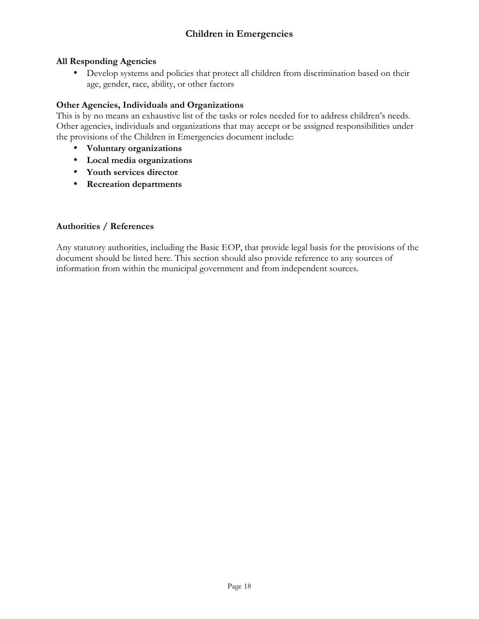#### All Responding Agencies

• Develop systems and policies that protect all children from discrimination based on their age, gender, race, ability, or other factors

#### Other Agencies, Individuals and Organizations

This is by no means an exhaustive list of the tasks or roles needed for to address children's needs. Other agencies, individuals and organizations that may accept or be assigned responsibilities under the provisions of the Children in Emergencies document include:

- Voluntary organizations
- Local media organizations
- Youth services director
- Recreation departments

#### Authorities / References

Any statutory authorities, including the Basic EOP, that provide legal basis for the provisions of the document should be listed here. This section should also provide reference to any sources of information from within the municipal government and from independent sources.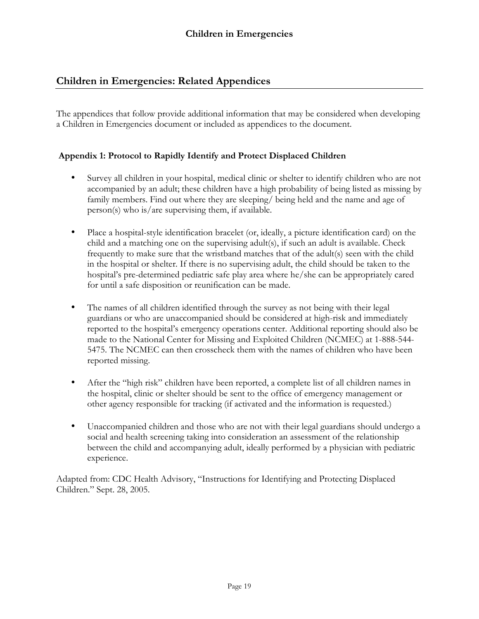# Children in Emergencies: Related Appendices

The appendices that follow provide additional information that may be considered when developing a Children in Emergencies document or included as appendices to the document.

#### Appendix 1: Protocol to Rapidly Identify and Protect Displaced Children

- Survey all children in your hospital, medical clinic or shelter to identify children who are not accompanied by an adult; these children have a high probability of being listed as missing by family members. Find out where they are sleeping/ being held and the name and age of person(s) who is/are supervising them, if available.
- Place a hospital-style identification bracelet (or, ideally, a picture identification card) on the child and a matching one on the supervising adult(s), if such an adult is available. Check frequently to make sure that the wristband matches that of the adult(s) seen with the child in the hospital or shelter. If there is no supervising adult, the child should be taken to the hospital's pre-determined pediatric safe play area where he/she can be appropriately cared for until a safe disposition or reunification can be made.
- The names of all children identified through the survey as not being with their legal guardians or who are unaccompanied should be considered at high-risk and immediately reported to the hospital's emergency operations center. Additional reporting should also be made to the National Center for Missing and Exploited Children (NCMEC) at 1-888-544- 5475. The NCMEC can then crosscheck them with the names of children who have been reported missing.
- After the "high risk" children have been reported, a complete list of all children names in the hospital, clinic or shelter should be sent to the office of emergency management or other agency responsible for tracking (if activated and the information is requested.)
- Unaccompanied children and those who are not with their legal guardians should undergo a social and health screening taking into consideration an assessment of the relationship between the child and accompanying adult, ideally performed by a physician with pediatric experience.

Adapted from: CDC Health Advisory, "Instructions for Identifying and Protecting Displaced Children." Sept. 28, 2005.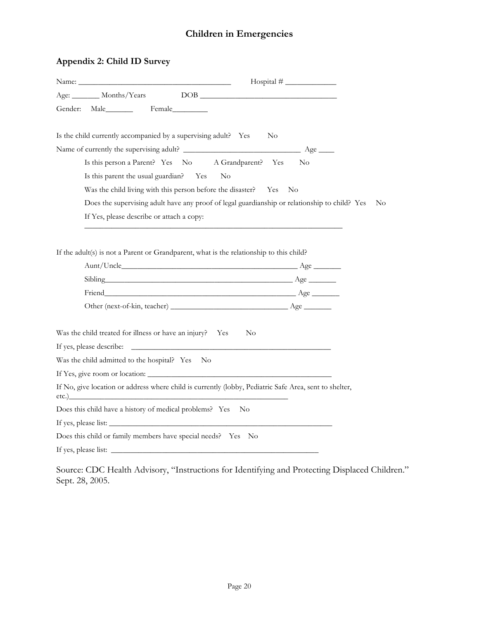# Appendix 2: Child ID Survey

|                                                                                                           | Name:                                                                                                                                                                                                                            |          |                |                |  |  |
|-----------------------------------------------------------------------------------------------------------|----------------------------------------------------------------------------------------------------------------------------------------------------------------------------------------------------------------------------------|----------|----------------|----------------|--|--|
|                                                                                                           | Age: Months/Years DOB                                                                                                                                                                                                            |          |                |                |  |  |
|                                                                                                           | Gender: Male__________ Female_________                                                                                                                                                                                           |          |                |                |  |  |
|                                                                                                           | Is the child currently accompanied by a supervising adult? Yes                                                                                                                                                                   |          | N <sub>o</sub> |                |  |  |
|                                                                                                           |                                                                                                                                                                                                                                  |          |                |                |  |  |
|                                                                                                           | Is this person a Parent? Yes No A Grandparent? Yes                                                                                                                                                                               |          |                | N <sub>o</sub> |  |  |
|                                                                                                           | Is this parent the usual guardian? Yes                                                                                                                                                                                           | $\rm No$ |                |                |  |  |
| Was the child living with this person before the disaster?<br>$\rm No$<br>Yes                             |                                                                                                                                                                                                                                  |          |                |                |  |  |
| Does the supervising adult have any proof of legal guardianship or relationship to child? Yes<br>$\rm No$ |                                                                                                                                                                                                                                  |          |                |                |  |  |
|                                                                                                           | If Yes, please describe or attach a copy:                                                                                                                                                                                        |          |                |                |  |  |
|                                                                                                           |                                                                                                                                                                                                                                  |          |                |                |  |  |
|                                                                                                           | If the adult(s) is not a Parent or Grandparent, what is the relationship to this child?                                                                                                                                          |          |                |                |  |  |
|                                                                                                           |                                                                                                                                                                                                                                  |          |                |                |  |  |
|                                                                                                           |                                                                                                                                                                                                                                  |          |                |                |  |  |
|                                                                                                           |                                                                                                                                                                                                                                  |          |                |                |  |  |
|                                                                                                           |                                                                                                                                                                                                                                  |          |                |                |  |  |
|                                                                                                           | Was the child treated for illness or have an injury? Yes                                                                                                                                                                         |          | $\rm No$       |                |  |  |
|                                                                                                           |                                                                                                                                                                                                                                  |          |                |                |  |  |
|                                                                                                           | Was the child admitted to the hospital? Yes No                                                                                                                                                                                   |          |                |                |  |  |
|                                                                                                           |                                                                                                                                                                                                                                  |          |                |                |  |  |
| $etc.)_$                                                                                                  | If No, give location or address where child is currently (lobby, Pediatric Safe Area, sent to shelter,                                                                                                                           |          |                |                |  |  |
|                                                                                                           | Does this child have a history of medical problems? Yes No                                                                                                                                                                       |          |                |                |  |  |
|                                                                                                           | If yes, please list: $\frac{1}{2}$ is the set of the set of the set of the set of the set of the set of the set of the set of the set of the set of the set of the set of the set of the set of the set of the set of the set of |          |                |                |  |  |
|                                                                                                           | Does this child or family members have special needs? Yes No                                                                                                                                                                     |          |                |                |  |  |
|                                                                                                           | If yes, please list: $\frac{1}{2}$ is the set of the set of the set of the set of the set of the set of the set of the set of the set of the set of the set of the set of the set of the set of the set of the set of the set of |          |                |                |  |  |
|                                                                                                           |                                                                                                                                                                                                                                  |          |                |                |  |  |

Source: CDC Health Advisory, "Instructions for Identifying and Protecting Displaced Children." Sept. 28, 2005.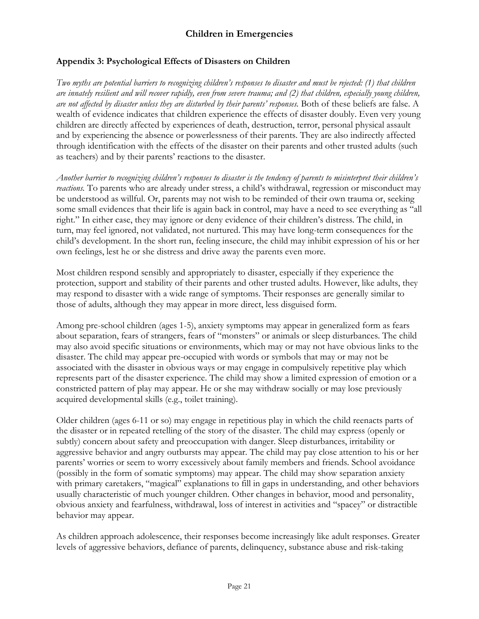#### Appendix 3: Psychological Effects of Disasters on Children

Two myths are potential barriers to recognizing children's responses to disaster and must be rejected: (1) that children are innately resilient and will recover rapidly, even from severe trauma; and (2) that children, especially young children, are not affected by disaster unless they are disturbed by their parents' responses. Both of these beliefs are false. A wealth of evidence indicates that children experience the effects of disaster doubly. Even very young children are directly affected by experiences of death, destruction, terror, personal physical assault and by experiencing the absence or powerlessness of their parents. They are also indirectly affected through identification with the effects of the disaster on their parents and other trusted adults (such as teachers) and by their parents' reactions to the disaster.

Another barrier to recognizing children's responses to disaster is the tendency of parents to misinterpret their children's reactions. To parents who are already under stress, a child's withdrawal, regression or misconduct may be understood as willful. Or, parents may not wish to be reminded of their own trauma or, seeking some small evidences that their life is again back in control, may have a need to see everything as "all right." In either case, they may ignore or deny evidence of their children's distress. The child, in turn, may feel ignored, not validated, not nurtured. This may have long-term consequences for the child's development. In the short run, feeling insecure, the child may inhibit expression of his or her own feelings, lest he or she distress and drive away the parents even more.

Most children respond sensibly and appropriately to disaster, especially if they experience the protection, support and stability of their parents and other trusted adults. However, like adults, they may respond to disaster with a wide range of symptoms. Their responses are generally similar to those of adults, although they may appear in more direct, less disguised form.

Among pre-school children (ages 1-5), anxiety symptoms may appear in generalized form as fears about separation, fears of strangers, fears of "monsters" or animals or sleep disturbances. The child may also avoid specific situations or environments, which may or may not have obvious links to the disaster. The child may appear pre-occupied with words or symbols that may or may not be associated with the disaster in obvious ways or may engage in compulsively repetitive play which represents part of the disaster experience. The child may show a limited expression of emotion or a constricted pattern of play may appear. He or she may withdraw socially or may lose previously acquired developmental skills (e.g., toilet training).

Older children (ages 6-11 or so) may engage in repetitious play in which the child reenacts parts of the disaster or in repeated retelling of the story of the disaster. The child may express (openly or subtly) concern about safety and preoccupation with danger. Sleep disturbances, irritability or aggressive behavior and angry outbursts may appear. The child may pay close attention to his or her parents' worries or seem to worry excessively about family members and friends. School avoidance (possibly in the form of somatic symptoms) may appear. The child may show separation anxiety with primary caretakers, "magical" explanations to fill in gaps in understanding, and other behaviors usually characteristic of much younger children. Other changes in behavior, mood and personality, obvious anxiety and fearfulness, withdrawal, loss of interest in activities and "spacey" or distractible behavior may appear.

As children approach adolescence, their responses become increasingly like adult responses. Greater levels of aggressive behaviors, defiance of parents, delinquency, substance abuse and risk-taking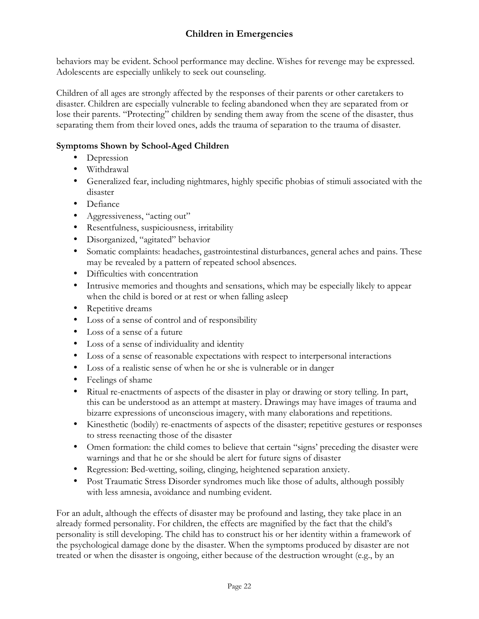behaviors may be evident. School performance may decline. Wishes for revenge may be expressed. Adolescents are especially unlikely to seek out counseling.

Children of all ages are strongly affected by the responses of their parents or other caretakers to disaster. Children are especially vulnerable to feeling abandoned when they are separated from or lose their parents. "Protecting" children by sending them away from the scene of the disaster, thus separating them from their loved ones, adds the trauma of separation to the trauma of disaster.

#### Symptoms Shown by School-Aged Children

- Depression
- Withdrawal
- Generalized fear, including nightmares, highly specific phobias of stimuli associated with the disaster
- Defiance
- Aggressiveness, "acting out"
- Resentfulness, suspiciousness, irritability
- Disorganized, "agitated" behavior
- Somatic complaints: headaches, gastrointestinal disturbances, general aches and pains. These may be revealed by a pattern of repeated school absences.
- Difficulties with concentration
- Intrusive memories and thoughts and sensations, which may be especially likely to appear when the child is bored or at rest or when falling asleep
- Repetitive dreams
- Loss of a sense of control and of responsibility
- Loss of a sense of a future
- Loss of a sense of individuality and identity
- Loss of a sense of reasonable expectations with respect to interpersonal interactions
- Loss of a realistic sense of when he or she is vulnerable or in danger
- Feelings of shame
- Ritual re-enactments of aspects of the disaster in play or drawing or story telling. In part, this can be understood as an attempt at mastery. Drawings may have images of trauma and bizarre expressions of unconscious imagery, with many elaborations and repetitions.
- Kinesthetic (bodily) re-enactments of aspects of the disaster; repetitive gestures or responses to stress reenacting those of the disaster
- Omen formation: the child comes to believe that certain "signs' preceding the disaster were warnings and that he or she should be alert for future signs of disaster
- Regression: Bed-wetting, soiling, clinging, heightened separation anxiety.
- Post Traumatic Stress Disorder syndromes much like those of adults, although possibly with less amnesia, avoidance and numbing evident.

For an adult, although the effects of disaster may be profound and lasting, they take place in an already formed personality. For children, the effects are magnified by the fact that the child's personality is still developing. The child has to construct his or her identity within a framework of the psychological damage done by the disaster. When the symptoms produced by disaster are not treated or when the disaster is ongoing, either because of the destruction wrought (e.g., by an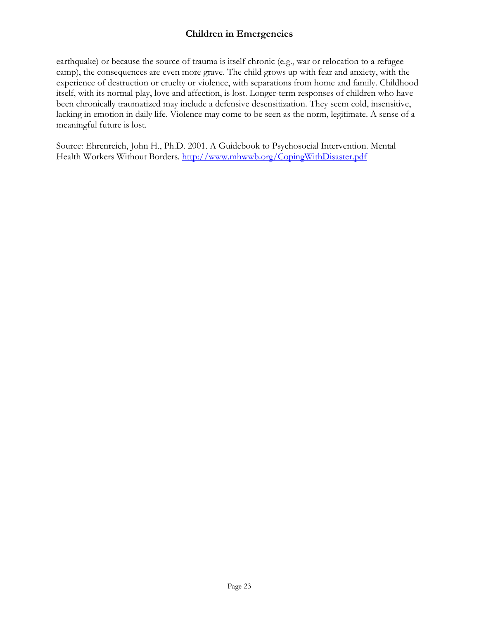earthquake) or because the source of trauma is itself chronic (e.g., war or relocation to a refugee camp), the consequences are even more grave. The child grows up with fear and anxiety, with the experience of destruction or cruelty or violence, with separations from home and family. Childhood itself, with its normal play, love and affection, is lost. Longer-term responses of children who have been chronically traumatized may include a defensive desensitization. They seem cold, insensitive, lacking in emotion in daily life. Violence may come to be seen as the norm, legitimate. A sense of a meaningful future is lost.

Source: Ehrenreich, John H., Ph.D. 2001. A Guidebook to Psychosocial Intervention. Mental Health Workers Without Borders. http://www.mhwwb.org/CopingWithDisaster.pdf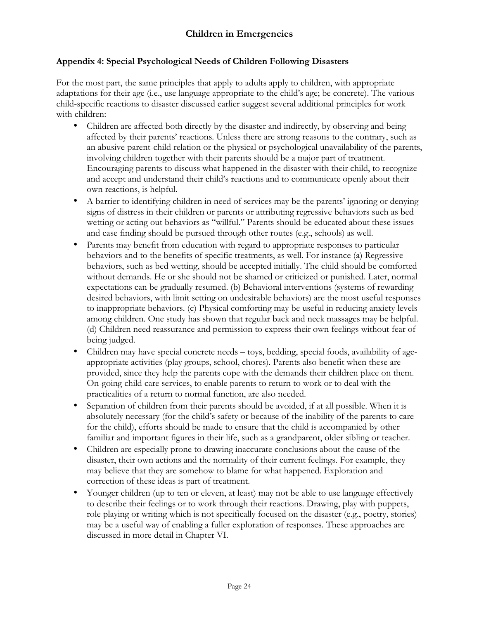#### Appendix 4: Special Psychological Needs of Children Following Disasters

For the most part, the same principles that apply to adults apply to children, with appropriate adaptations for their age (i.e., use language appropriate to the child's age; be concrete). The various child-specific reactions to disaster discussed earlier suggest several additional principles for work with children:

- Children are affected both directly by the disaster and indirectly, by observing and being affected by their parents' reactions. Unless there are strong reasons to the contrary, such as an abusive parent-child relation or the physical or psychological unavailability of the parents, involving children together with their parents should be a major part of treatment. Encouraging parents to discuss what happened in the disaster with their child, to recognize and accept and understand their child's reactions and to communicate openly about their own reactions, is helpful.
- A barrier to identifying children in need of services may be the parents' ignoring or denying signs of distress in their children or parents or attributing regressive behaviors such as bed wetting or acting out behaviors as "willful." Parents should be educated about these issues and case finding should be pursued through other routes (e.g., schools) as well.
- Parents may benefit from education with regard to appropriate responses to particular behaviors and to the benefits of specific treatments, as well. For instance (a) Regressive behaviors, such as bed wetting, should be accepted initially. The child should be comforted without demands. He or she should not be shamed or criticized or punished. Later, normal expectations can be gradually resumed. (b) Behavioral interventions (systems of rewarding desired behaviors, with limit setting on undesirable behaviors) are the most useful responses to inappropriate behaviors. (c) Physical comforting may be useful in reducing anxiety levels among children. One study has shown that regular back and neck massages may be helpful. (d) Children need reassurance and permission to express their own feelings without fear of being judged.
- Children may have special concrete needs toys, bedding, special foods, availability of ageappropriate activities (play groups, school, chores). Parents also benefit when these are provided, since they help the parents cope with the demands their children place on them. On-going child care services, to enable parents to return to work or to deal with the practicalities of a return to normal function, are also needed.
- Separation of children from their parents should be avoided, if at all possible. When it is absolutely necessary (for the child's safety or because of the inability of the parents to care for the child), efforts should be made to ensure that the child is accompanied by other familiar and important figures in their life, such as a grandparent, older sibling or teacher.
- Children are especially prone to drawing inaccurate conclusions about the cause of the disaster, their own actions and the normality of their current feelings. For example, they may believe that they are somehow to blame for what happened. Exploration and correction of these ideas is part of treatment.
- Younger children (up to ten or eleven, at least) may not be able to use language effectively to describe their feelings or to work through their reactions. Drawing, play with puppets, role playing or writing which is not specifically focused on the disaster (e.g., poetry, stories) may be a useful way of enabling a fuller exploration of responses. These approaches are discussed in more detail in Chapter VI.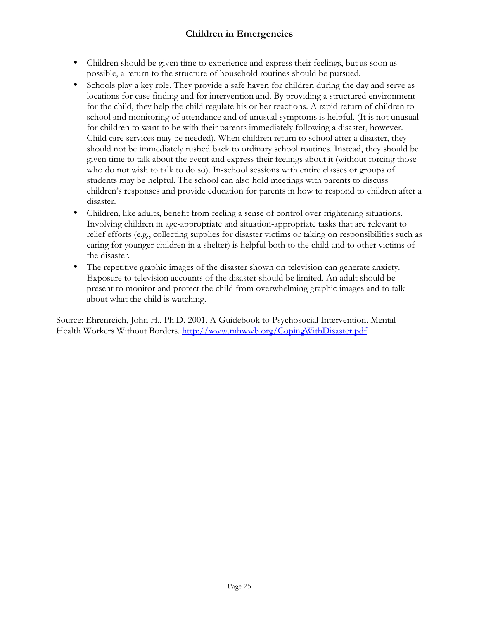- Children should be given time to experience and express their feelings, but as soon as possible, a return to the structure of household routines should be pursued.
- Schools play a key role. They provide a safe haven for children during the day and serve as locations for case finding and for intervention and. By providing a structured environment for the child, they help the child regulate his or her reactions. A rapid return of children to school and monitoring of attendance and of unusual symptoms is helpful. (It is not unusual for children to want to be with their parents immediately following a disaster, however. Child care services may be needed). When children return to school after a disaster, they should not be immediately rushed back to ordinary school routines. Instead, they should be given time to talk about the event and express their feelings about it (without forcing those who do not wish to talk to do so). In-school sessions with entire classes or groups of students may be helpful. The school can also hold meetings with parents to discuss children's responses and provide education for parents in how to respond to children after a disaster.
- Children, like adults, benefit from feeling a sense of control over frightening situations. Involving children in age-appropriate and situation-appropriate tasks that are relevant to relief efforts (e.g., collecting supplies for disaster victims or taking on responsibilities such as caring for younger children in a shelter) is helpful both to the child and to other victims of the disaster.
- The repetitive graphic images of the disaster shown on television can generate anxiety. Exposure to television accounts of the disaster should be limited. An adult should be present to monitor and protect the child from overwhelming graphic images and to talk about what the child is watching.

Source: Ehrenreich, John H., Ph.D. 2001. A Guidebook to Psychosocial Intervention. Mental Health Workers Without Borders. http://www.mhwwb.org/CopingWithDisaster.pdf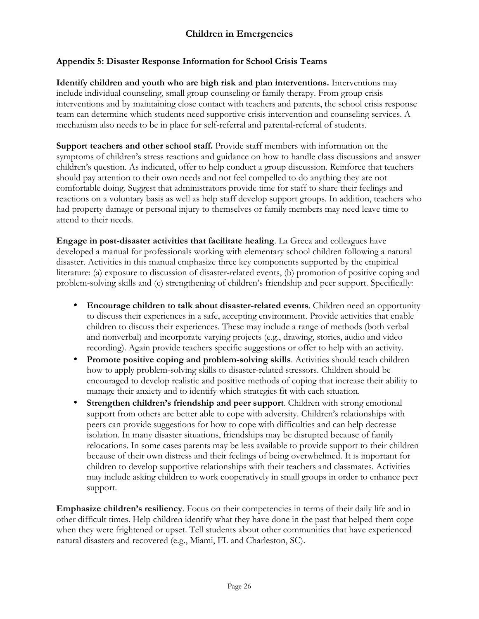#### Appendix 5: Disaster Response Information for School Crisis Teams

Identify children and youth who are high risk and plan interventions. Interventions may include individual counseling, small group counseling or family therapy. From group crisis interventions and by maintaining close contact with teachers and parents, the school crisis response team can determine which students need supportive crisis intervention and counseling services. A mechanism also needs to be in place for self-referral and parental-referral of students.

Support teachers and other school staff. Provide staff members with information on the symptoms of children's stress reactions and guidance on how to handle class discussions and answer children's question. As indicated, offer to help conduct a group discussion. Reinforce that teachers should pay attention to their own needs and not feel compelled to do anything they are not comfortable doing. Suggest that administrators provide time for staff to share their feelings and reactions on a voluntary basis as well as help staff develop support groups. In addition, teachers who had property damage or personal injury to themselves or family members may need leave time to attend to their needs.

Engage in post-disaster activities that facilitate healing. La Greca and colleagues have developed a manual for professionals working with elementary school children following a natural disaster. Activities in this manual emphasize three key components supported by the empirical literature: (a) exposure to discussion of disaster-related events, (b) promotion of positive coping and problem-solving skills and (c) strengthening of children's friendship and peer support. Specifically:

- Encourage children to talk about disaster-related events. Children need an opportunity to discuss their experiences in a safe, accepting environment. Provide activities that enable children to discuss their experiences. These may include a range of methods (both verbal and nonverbal) and incorporate varying projects (e.g., drawing, stories, audio and video recording). Again provide teachers specific suggestions or offer to help with an activity.
- Promote positive coping and problem-solving skills. Activities should teach children how to apply problem-solving skills to disaster-related stressors. Children should be encouraged to develop realistic and positive methods of coping that increase their ability to manage their anxiety and to identify which strategies fit with each situation.
- Strengthen children's friendship and peer support. Children with strong emotional support from others are better able to cope with adversity. Children's relationships with peers can provide suggestions for how to cope with difficulties and can help decrease isolation. In many disaster situations, friendships may be disrupted because of family relocations. In some cases parents may be less available to provide support to their children because of their own distress and their feelings of being overwhelmed. It is important for children to develop supportive relationships with their teachers and classmates. Activities may include asking children to work cooperatively in small groups in order to enhance peer support.

Emphasize children's resiliency. Focus on their competencies in terms of their daily life and in other difficult times. Help children identify what they have done in the past that helped them cope when they were frightened or upset. Tell students about other communities that have experienced natural disasters and recovered (e.g., Miami, FL and Charleston, SC).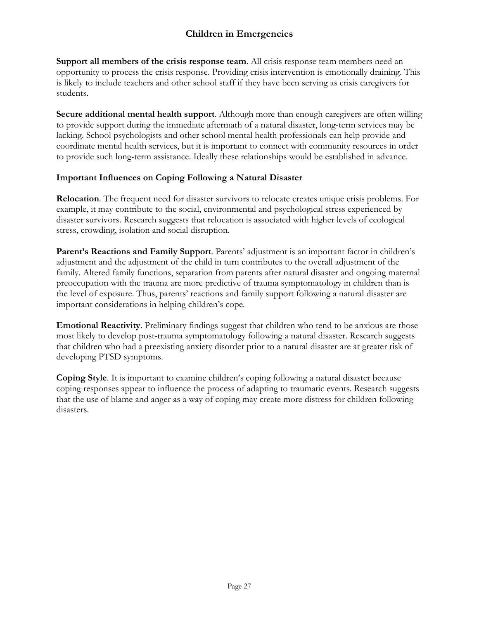Support all members of the crisis response team. All crisis response team members need an opportunity to process the crisis response. Providing crisis intervention is emotionally draining. This is likely to include teachers and other school staff if they have been serving as crisis caregivers for students.

Secure additional mental health support. Although more than enough caregivers are often willing to provide support during the immediate aftermath of a natural disaster, long-term services may be lacking. School psychologists and other school mental health professionals can help provide and coordinate mental health services, but it is important to connect with community resources in order to provide such long-term assistance. Ideally these relationships would be established in advance.

#### Important Influences on Coping Following a Natural Disaster

Relocation. The frequent need for disaster survivors to relocate creates unique crisis problems. For example, it may contribute to the social, environmental and psychological stress experienced by disaster survivors. Research suggests that relocation is associated with higher levels of ecological stress, crowding, isolation and social disruption.

Parent's Reactions and Family Support. Parents' adjustment is an important factor in children's adjustment and the adjustment of the child in turn contributes to the overall adjustment of the family. Altered family functions, separation from parents after natural disaster and ongoing maternal preoccupation with the trauma are more predictive of trauma symptomatology in children than is the level of exposure. Thus, parents' reactions and family support following a natural disaster are important considerations in helping children's cope.

Emotional Reactivity. Preliminary findings suggest that children who tend to be anxious are those most likely to develop post-trauma symptomatology following a natural disaster. Research suggests that children who had a preexisting anxiety disorder prior to a natural disaster are at greater risk of developing PTSD symptoms.

Coping Style. It is important to examine children's coping following a natural disaster because coping responses appear to influence the process of adapting to traumatic events. Research suggests that the use of blame and anger as a way of coping may create more distress for children following disasters.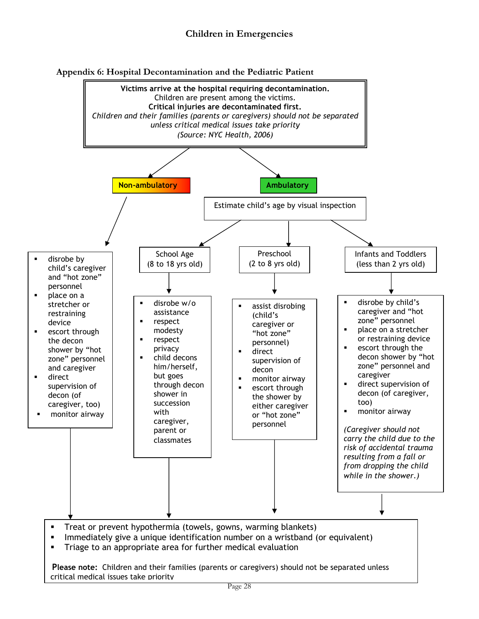

 Please note: Children and their families (parents or caregivers) should not be separated unless critical medical issues take priority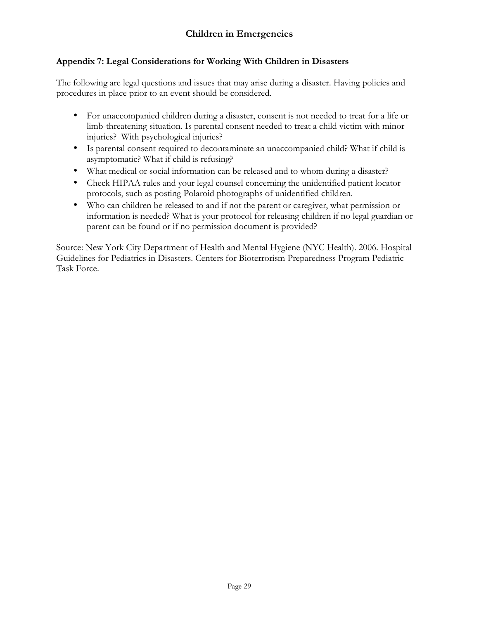#### Appendix 7: Legal Considerations for Working With Children in Disasters

The following are legal questions and issues that may arise during a disaster. Having policies and procedures in place prior to an event should be considered.

- For unaccompanied children during a disaster, consent is not needed to treat for a life or limb-threatening situation. Is parental consent needed to treat a child victim with minor injuries? With psychological injuries?
- Is parental consent required to decontaminate an unaccompanied child? What if child is asymptomatic? What if child is refusing?
- What medical or social information can be released and to whom during a disaster?
- Check HIPAA rules and your legal counsel concerning the unidentified patient locator protocols, such as posting Polaroid photographs of unidentified children.
- Who can children be released to and if not the parent or caregiver, what permission or information is needed? What is your protocol for releasing children if no legal guardian or parent can be found or if no permission document is provided?

Source: New York City Department of Health and Mental Hygiene (NYC Health). 2006. Hospital Guidelines for Pediatrics in Disasters. Centers for Bioterrorism Preparedness Program Pediatric Task Force.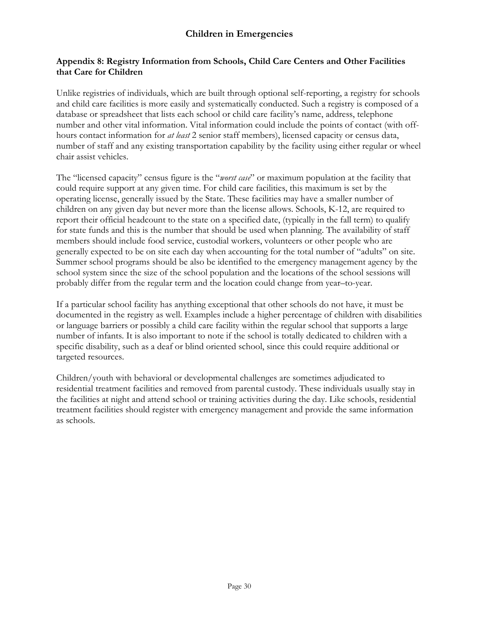#### Appendix 8: Registry Information from Schools, Child Care Centers and Other Facilities that Care for Children

Unlike registries of individuals, which are built through optional self-reporting, a registry for schools and child care facilities is more easily and systematically conducted. Such a registry is composed of a database or spreadsheet that lists each school or child care facility's name, address, telephone number and other vital information. Vital information could include the points of contact (with offhours contact information for *at least* 2 senior staff members), licensed capacity or census data, number of staff and any existing transportation capability by the facility using either regular or wheel chair assist vehicles.

The "licensed capacity" census figure is the "*worst case*" or maximum population at the facility that could require support at any given time. For child care facilities, this maximum is set by the operating license, generally issued by the State. These facilities may have a smaller number of children on any given day but never more than the license allows. Schools, K-12, are required to report their official headcount to the state on a specified date, (typically in the fall term) to qualify for state funds and this is the number that should be used when planning. The availability of staff members should include food service, custodial workers, volunteers or other people who are generally expected to be on site each day when accounting for the total number of "adults" on site. Summer school programs should be also be identified to the emergency management agency by the school system since the size of the school population and the locations of the school sessions will probably differ from the regular term and the location could change from year–to-year.

If a particular school facility has anything exceptional that other schools do not have, it must be documented in the registry as well. Examples include a higher percentage of children with disabilities or language barriers or possibly a child care facility within the regular school that supports a large number of infants. It is also important to note if the school is totally dedicated to children with a specific disability, such as a deaf or blind oriented school, since this could require additional or targeted resources.

Children/youth with behavioral or developmental challenges are sometimes adjudicated to residential treatment facilities and removed from parental custody. These individuals usually stay in the facilities at night and attend school or training activities during the day. Like schools, residential treatment facilities should register with emergency management and provide the same information as schools.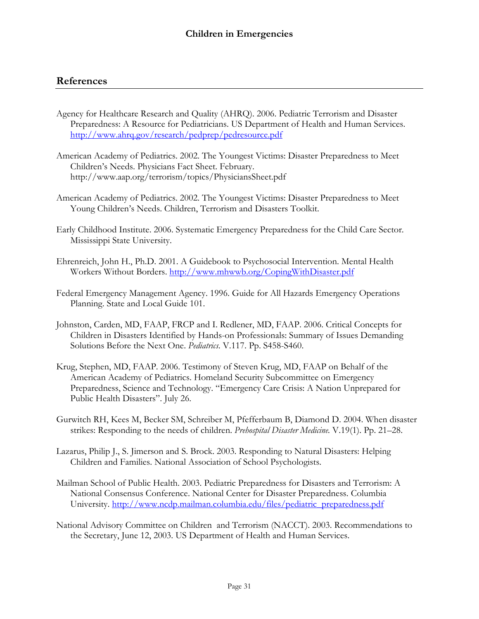# References

- Agency for Healthcare Research and Quality (AHRQ). 2006. Pediatric Terrorism and Disaster Preparedness: A Resource for Pediatricians. US Department of Health and Human Services. http://www.ahrq.gov/research/pedprep/pedresource.pdf
- American Academy of Pediatrics. 2002. The Youngest Victims: Disaster Preparedness to Meet Children's Needs. Physicians Fact Sheet. February. http://www.aap.org/terrorism/topics/PhysiciansSheet.pdf
- American Academy of Pediatrics. 2002. The Youngest Victims: Disaster Preparedness to Meet Young Children's Needs. Children, Terrorism and Disasters Toolkit.
- Early Childhood Institute. 2006. Systematic Emergency Preparedness for the Child Care Sector. Mississippi State University.
- Ehrenreich, John H., Ph.D. 2001. A Guidebook to Psychosocial Intervention. Mental Health Workers Without Borders. http://www.mhwwb.org/CopingWithDisaster.pdf
- Federal Emergency Management Agency. 1996. Guide for All Hazards Emergency Operations Planning. State and Local Guide 101.
- Johnston, Carden, MD, FAAP, FRCP and I. Redlener, MD, FAAP. 2006. Critical Concepts for Children in Disasters Identified by Hands-on Professionals: Summary of Issues Demanding Solutions Before the Next One. Pediatrics. V.117. Pp. S458-S460.
- Krug, Stephen, MD, FAAP. 2006. Testimony of Steven Krug, MD, FAAP on Behalf of the American Academy of Pediatrics. Homeland Security Subcommittee on Emergency Preparedness, Science and Technology. "Emergency Care Crisis: A Nation Unprepared for Public Health Disasters". July 26.
- Gurwitch RH, Kees M, Becker SM, Schreiber M, Pfefferbaum B, Diamond D. 2004. When disaster strikes: Responding to the needs of children. *Prehospital Disaster Medicine*. V.19(1). Pp. 21–28.
- Lazarus, Philip J., S. Jimerson and S. Brock. 2003. Responding to Natural Disasters: Helping Children and Families. National Association of School Psychologists.
- Mailman School of Public Health. 2003. Pediatric Preparedness for Disasters and Terrorism: A National Consensus Conference. National Center for Disaster Preparedness. Columbia University. http://www.ncdp.mailman.columbia.edu/files/pediatric\_preparedness.pdf
- National Advisory Committee on Children and Terrorism (NACCT). 2003. Recommendations to the Secretary, June 12, 2003. US Department of Health and Human Services.